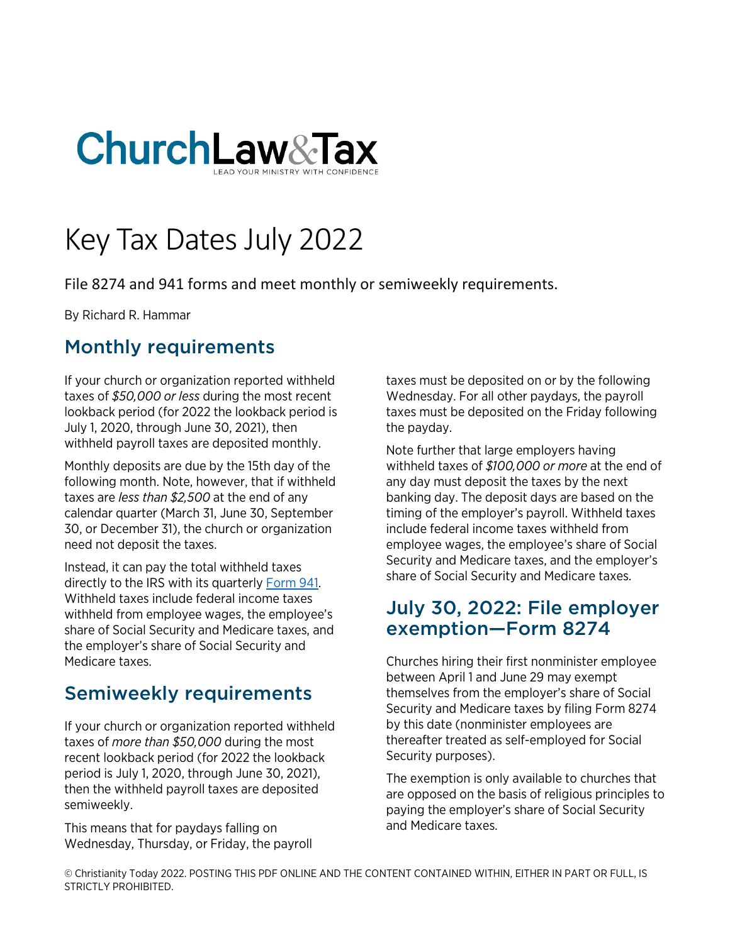

# Key Tax Dates July 2022

File 8274 and 941 forms and meet monthly or semiweekly requirements.

By Richard R. Hammar

## Monthly requirements

If your church or organization reported withheld taxes of *\$50,000 or less* during the most recent lookback period (for 2022 the lookback period is July 1, 2020, through June 30, 2021), then withheld payroll taxes are deposited monthly.

Monthly deposits are due by the 15th day of the following month. Note, however, that if withheld taxes are *less than \$2,500* at the end of any calendar quarter (March 31, June 30, September 30, or December 31), the church or organization need not deposit the taxes.

Instead, it can pay the total withheld taxes directly to the IRS with its quarterly [Form 941.](https://www.churchlawandtax.com/cltr/1992/september-october/form-941.html) Withheld taxes include federal income taxes withheld from employee wages, the employee's share of Social Security and Medicare taxes, and the employer's share of Social Security and Medicare taxes.

### Semiweekly requirements

If your church or organization reported withheld taxes of *more than \$50,000* during the most recent lookback period (for 2022 the lookback period is July 1, 2020, through June 30, 2021), then the withheld payroll taxes are deposited semiweekly.

This means that for paydays falling on Wednesday, Thursday, or Friday, the payroll taxes must be deposited on or by the following Wednesday. For all other paydays, the payroll taxes must be deposited on the Friday following the payday.

Note further that large employers having withheld taxes of *\$100,000 or more* at the end of any day must deposit the taxes by the next banking day. The deposit days are based on the timing of the employer's payroll. Withheld taxes include federal income taxes withheld from employee wages, the employee's share of Social Security and Medicare taxes, and the employer's share of Social Security and Medicare taxes.

### July 30, 2022: File employer exemption—Form 8274

Churches hiring their first nonminister employee between April 1 and June 29 may exempt themselves from the employer's share of Social Security and Medicare taxes by filing Form 8274 by this date (nonminister employees are thereafter treated as self-employed for Social Security purposes).

The exemption is only available to churches that are opposed on the basis of religious principles to paying the employer's share of Social Security and Medicare taxes.

© Christianity Today 2022. POSTING THIS PDF ONLINE AND THE CONTENT CONTAINED WITHIN, EITHER IN PART OR FULL, IS STRICTLY PROHIBITED.